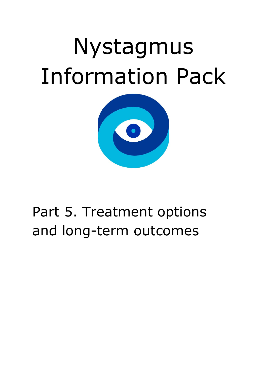# Nystagmus Information Pack



# Part 5. Treatment options and long-term outcomes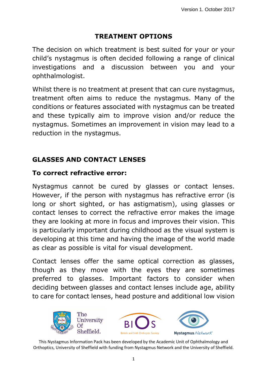# **TREATMENT OPTIONS**

The decision on which treatment is best suited for your or your child's nystagmus is often decided following a range of clinical investigations and a discussion between you and your ophthalmologist.

Whilst there is no treatment at present that can cure nystagmus, treatment often aims to reduce the nystagmus. Many of the conditions or features associated with nystagmus can be treated and these typically aim to improve vision and/or reduce the nystagmus. Sometimes an improvement in vision may lead to a reduction in the nystagmus.

# **GLASSES AND CONTACT LENSES**

# **To correct refractive error:**

Nystagmus cannot be cured by glasses or contact lenses. However, if the person with nystagmus has refractive error (is long or short sighted, or has astigmatism), using glasses or contact lenses to correct the refractive error makes the image they are looking at more in focus and improves their vision. This is particularly important during childhood as the visual system is developing at this time and having the image of the world made as clear as possible is vital for visual development.

Contact lenses offer the same optical correction as glasses, though as they move with the eyes they are sometimes preferred to glasses. Important factors to consider when deciding between glasses and contact lenses include age, ability to care for contact lenses, head posture and additional low vision

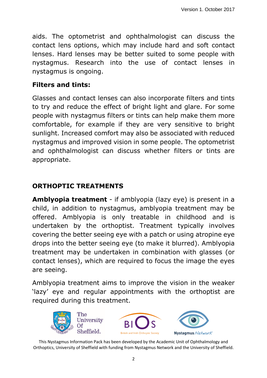aids. The optometrist and ophthalmologist can discuss the contact lens options, which may include hard and soft contact lenses. Hard lenses may be better suited to some people with nystagmus. Research into the use of contact lenses in nystagmus is ongoing.

#### **Filters and tints:**

Glasses and contact lenses can also incorporate filters and tints to try and reduce the effect of bright light and glare. For some people with nystagmus filters or tints can help make them more comfortable, for example if they are very sensitive to bright sunlight. Increased comfort may also be associated with reduced nystagmus and improved vision in some people. The optometrist and ophthalmologist can discuss whether filters or tints are appropriate.

# **ORTHOPTIC TREATMENTS**

**Amblyopia treatment** - if amblyopia (lazy eye) is present in a child, in addition to nystagmus, amblyopia treatment may be offered. Amblyopia is only treatable in childhood and is undertaken by the orthoptist. Treatment typically involves covering the better seeing eye with a patch or using atropine eye drops into the better seeing eye (to make it blurred). Amblyopia treatment may be undertaken in combination with glasses (or contact lenses), which are required to focus the image the eyes are seeing.

Amblyopia treatment aims to improve the vision in the weaker 'lazy' eye and regular appointments with the orthoptist are required during this treatment.

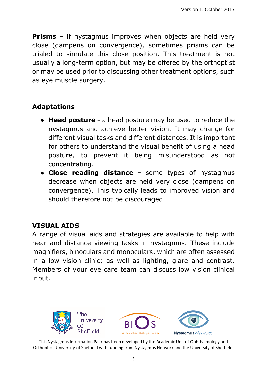**Prisms** – if nystagmus improves when objects are held very close (dampens on convergence), sometimes prisms can be trialed to simulate this close position. This treatment is not usually a long-term option, but may be offered by the orthoptist or may be used prior to discussing other treatment options, such as eye muscle surgery.

#### **Adaptations**

- **Head posture -** a head posture may be used to reduce the nystagmus and achieve better vision. It may change for different visual tasks and different distances. It is important for others to understand the visual benefit of using a head posture, to prevent it being misunderstood as not concentrating.
- **Close reading distance -** some types of nystagmus decrease when objects are held very close (dampens on convergence). This typically leads to improved vision and should therefore not be discouraged.

#### **VISUAL AIDS**

A range of visual aids and strategies are available to help with near and distance viewing tasks in nystagmus. These include magnifiers, binoculars and monoculars, which are often assessed in a low vision clinic; as well as lighting, glare and contrast. Members of your eye care team can discuss low vision clinical input.

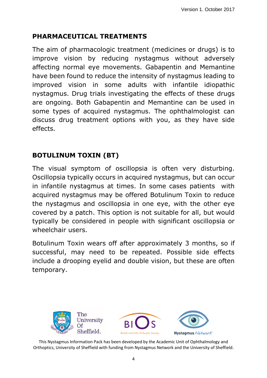# **PHARMACEUTICAL TREATMENTS**

The aim of pharmacologic treatment (medicines or drugs) is to improve vision by reducing nystagmus without adversely affecting normal eye movements. Gabapentin and Memantine have been found to reduce the intensity of nystagmus leading to improved vision in some adults with infantile idiopathic nystagmus. Drug trials investigating the effects of these drugs are ongoing. Both Gabapentin and Memantine can be used in some types of acquired nystagmus. The ophthalmologist can discuss drug treatment options with you, as they have side effects.

# **BOTULINUM TOXIN (BT)**

The visual symptom of oscillopsia is often very disturbing. Oscillopsia typically occurs in acquired nystagmus, but can occur in infantile nystagmus at times. In some cases patients with acquired nystagmus may be offered Botulinum Toxin to reduce the nystagmus and oscillopsia in one eye, with the other eye covered by a patch. This option is not suitable for all, but would typically be considered in people with significant oscillopsia or wheelchair users.

Botulinum Toxin wears off after approximately 3 months, so if successful, may need to be repeated. Possible side effects include a drooping eyelid and double vision, but these are often temporary.

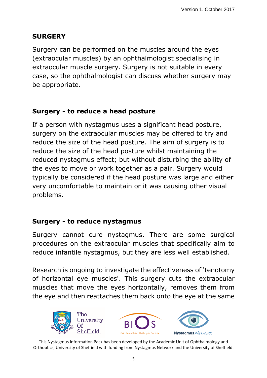# **SURGERY**

Surgery can be performed on the muscles around the eyes (extraocular muscles) by an ophthalmologist specialising in extraocular muscle surgery. Surgery is not suitable in every case, so the ophthalmologist can discuss whether surgery may be appropriate.

# **Surgery - to reduce a head posture**

If a person with nystagmus uses a significant head posture, surgery on the extraocular muscles may be offered to try and reduce the size of the head posture. The aim of surgery is to reduce the size of the head posture whilst maintaining the reduced nystagmus effect; but without disturbing the ability of the eyes to move or work together as a pair. Surgery would typically be considered if the head posture was large and either very uncomfortable to maintain or it was causing other visual problems.

# **Surgery - to reduce nystagmus**

Surgery cannot cure nystagmus. There are some surgical procedures on the extraocular muscles that specifically aim to reduce infantile nystagmus, but they are less well established.

Research is ongoing to investigate the effectiveness of 'tenotomy of horizontal eye muscles'. This surgery cuts the extraocular muscles that move the eyes horizontally, removes them from the eye and then reattaches them back onto the eye at the same

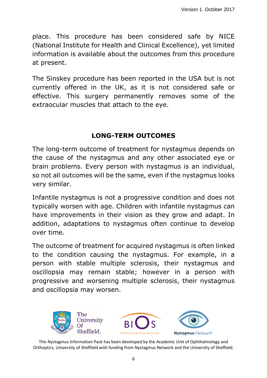place. This procedure has been considered safe by NICE (National Institute for Health and Clinical Excellence), yet limited information is available about the outcomes from this procedure at present.

The Sinskey procedure has been reported in the USA but is not currently offered in the UK, as it is not considered safe or effective. This surgery permanently removes some of the extraocular muscles that attach to the eye.

# **LONG-TERM OUTCOMES**

The long-term outcome of treatment for nystagmus depends on the cause of the nystagmus and any other associated eye or brain problems. Every person with nystagmus is an individual, so not all outcomes will be the same, even if the nystagmus looks very similar.

Infantile nystagmus is not a progressive condition and does not typically worsen with age. Children with infantile nystagmus can have improvements in their vision as they grow and adapt. In addition, adaptations to nystagmus often continue to develop over time.

The outcome of treatment for acquired nystagmus is often linked to the condition causing the nystagmus. For example, in a person with stable multiple sclerosis, their nystagmus and oscillopsia may remain stable; however in a person with progressive and worsening multiple sclerosis, their nystagmus and oscillopsia may worsen.

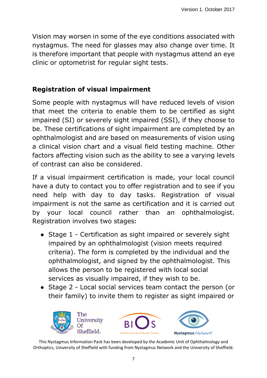Vision may worsen in some of the eye conditions associated with nystagmus. The need for glasses may also change over time. It is therefore important that people with nystagmus attend an eye clinic or optometrist for regular sight tests.

# **Registration of visual impairment**

Some people with nystagmus will have reduced levels of vision that meet the criteria to enable them to be certified as sight impaired (SI) or severely sight impaired (SSI), if they choose to be. These certifications of sight impairment are completed by an ophthalmologist and are based on measurements of vision using a clinical vision chart and a visual field testing machine. Other factors affecting vision such as the ability to see a varying levels of contrast can also be considered.

If a visual impairment certification is made, your local council have a duty to contact you to offer registration and to see if you need help with day to day tasks. Registration of visual impairment is not the same as certification and it is carried out by your local council rather than an ophthalmologist. Registration involves two stages**:**

- Stage 1 Certification as sight impaired or severely sight impaired by an ophthalmologist (vision meets required criteria). The form is completed by the individual and the ophthalmologist, and signed by the ophthalmologist. This allows the person to be registered with local social services as visually impaired, if they wish to be.
- Stage 2 Local social services team contact the person (or their family) to invite them to register as sight impaired or